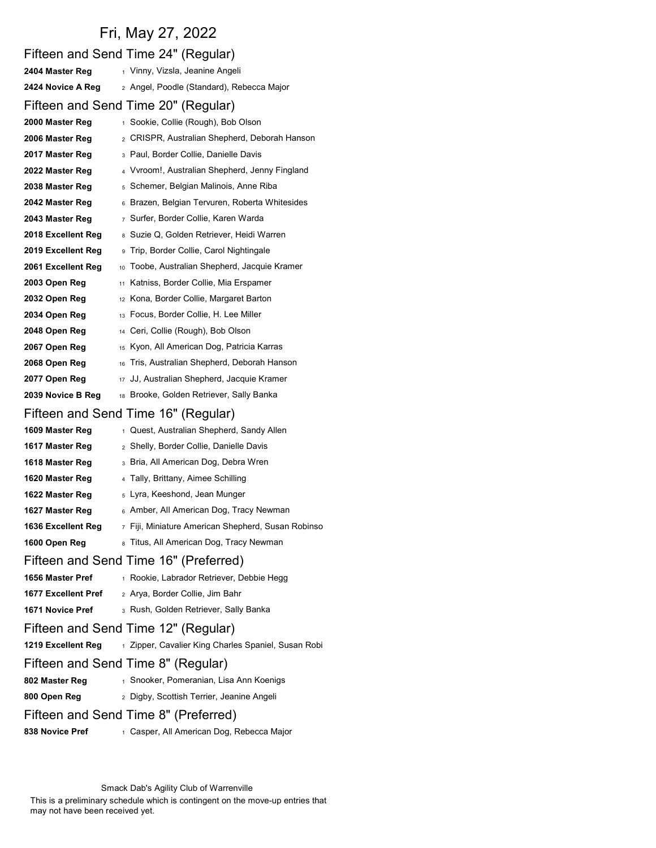## Fri, May 27, 2022

|                     | Fifteen and Send Time 24" (Regular)                 |
|---------------------|-----------------------------------------------------|
| 2404 Master Reg     | 1 Vinny, Vizsla, Jeanine Angeli                     |
| 2424 Novice A Reg   | 2 Angel, Poodle (Standard), Rebecca Major           |
|                     | Fifteen and Send Time 20" (Regular)                 |
| 2000 Master Reg     | 1 Sookie, Collie (Rough), Bob Olson                 |
| 2006 Master Reg     | 2 CRISPR, Australian Shepherd, Deborah Hanson       |
| 2017 Master Reg     | 3 Paul, Border Collie, Danielle Davis               |
| 2022 Master Reg     | 4 Vyroom!, Australian Shepherd, Jenny Fingland      |
| 2038 Master Reg     | <sub>5</sub> Schemer, Belgian Malinois, Anne Riba   |
| 2042 Master Reg     | 6 Brazen, Belgian Tervuren, Roberta Whitesides      |
| 2043 Master Reg     | 7 Surfer, Border Collie, Karen Warda                |
| 2018 Excellent Reg  | 8 Suzie Q, Golden Retriever, Heidi Warren           |
| 2019 Excellent Reg  | <sup>9</sup> Trip, Border Collie, Carol Nightingale |
| 2061 Excellent Reg  | 10 Toobe, Australian Shepherd, Jacquie Kramer       |
| 2003 Open Reg       | Katniss, Border Collie, Mia Erspamer<br>11          |
| 2032 Open Reg       | 12 Kona, Border Collie, Margaret Barton             |
| 2034 Open Reg       | Focus, Border Collie, H. Lee Miller<br>13           |
| 2048 Open Reg       | Ceri, Collie (Rough), Bob Olson<br>14               |
| 2067 Open Reg       | 15 Kyon, All American Dog, Patricia Karras          |
| 2068 Open Reg       | Tris, Australian Shepherd, Deborah Hanson<br>16     |
| 2077 Open Reg       | 17 JJ, Australian Shepherd, Jacquie Kramer          |
| 2039 Novice B Reg   | 18 Brooke, Golden Retriever, Sally Banka            |
|                     | Fifteen and Send Time 16" (Regular)                 |
| 1609 Master Reg     | 1 Quest, Australian Shepherd, Sandy Allen           |
| 1617 Master Reg     | 2 Shelly, Border Collie, Danielle Davis             |
| 1618 Master Reg     | 3 Bria, All American Dog, Debra Wren                |
| 1620 Master Reg     | 4 Tally, Brittany, Aimee Schilling                  |
| 1622 Master Reg     | 5 Lyra, Keeshond, Jean Munger                       |
| 1627 Master Reg     | 6 Amber, All American Dog, Tracy Newman             |
| 1636 Excellent Reg  | 7 Fiji, Miniature American Shepherd, Susan Robinso  |
| 1600 Open Reg       | 8 Titus, All American Dog, Tracy Newman             |
|                     | Fifteen and Send Time 16" (Preferred)               |
| 1656 Master Pref    | 1 Rookie, Labrador Retriever, Debbie Hegg           |
| 1677 Excellent Pref | 2 Arya, Border Collie, Jim Bahr                     |
| 1671 Novice Pref    | 3 Rush, Golden Retriever, Sally Banka               |
|                     | Fifteen and Send Time 12" (Regular)                 |
| 1219 Excellent Reg  | 1 Zipper, Cavalier King Charles Spaniel, Susan Robi |
|                     | Fifteen and Send Time 8" (Regular)                  |
| 802 Master Reg      | 1 Snooker, Pomeranian, Lisa Ann Koenigs             |
| 800 Open Reg        | 2 Digby, Scottish Terrier, Jeanine Angeli           |
|                     | Fifteen and Send Time 8" (Preferred)                |
| 838 Novice Pref     | 1 Casper, All American Dog, Rebecca Major           |

Smack Dab's Agility Club of Warrenville

This is a preliminary schedule which is contingent on the move-up entries that may not have been received yet.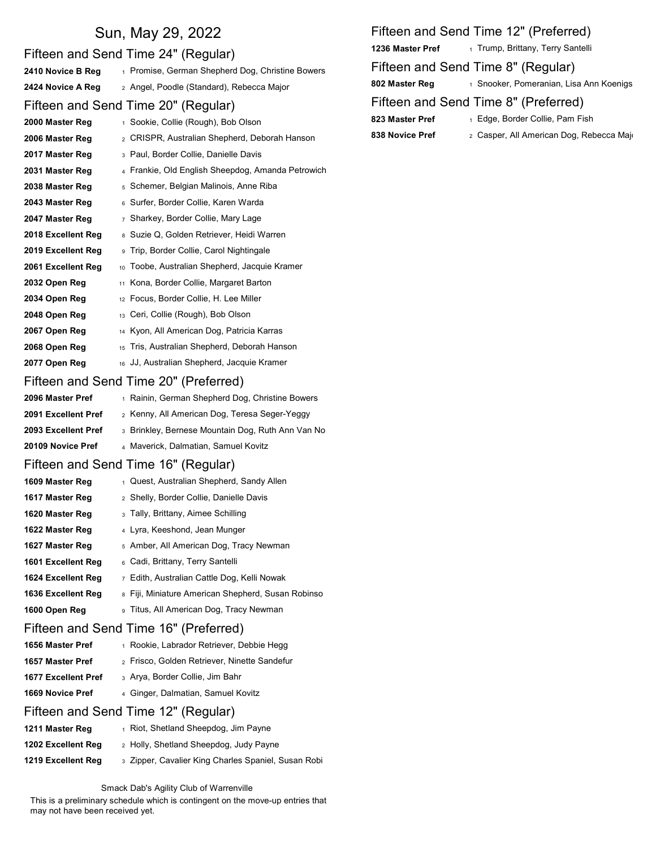# Sun, May 29, 2022<br>
Sun, May 29, 2022<br>
Sand Time 24" (Required)

|                     | Fifteen and Send Time 24" (Regular)                      | IZJ WIJSLEI PIEL | 1 Trump, Dilliany, Teny Sanielli         |
|---------------------|----------------------------------------------------------|------------------|------------------------------------------|
| 2410 Novice B Reg   | 1 Promise, German Shepherd Dog, Christine Bowers         |                  | Fifteen and Send Time 8" (Regular)       |
| 2424 Novice A Reg   | 2 Angel, Poodle (Standard), Rebecca Major                | 802 Master Reg   | 1 Snooker, Pomeranian, Lisa Ann Koenigs  |
|                     | Fifteen and Send Time 20" (Regular)                      |                  | Fifteen and Send Time 8" (Preferred)     |
| 2000 Master Reg     | 1 Sookie, Collie (Rough), Bob Olson                      | 823 Master Pref  | 1 Edge, Border Collie, Pam Fish          |
| 2006 Master Reg     | 2 CRISPR, Australian Shepherd, Deborah Hanson            | 838 Novice Pref  | 2 Casper, All American Dog, Rebecca Majo |
| 2017 Master Reg     | 3 Paul, Border Collie, Danielle Davis                    |                  |                                          |
| 2031 Master Reg     | 4 Frankie, Old English Sheepdog, Amanda Petrowich        |                  |                                          |
| 2038 Master Reg     | 5 Schemer, Belgian Malinois, Anne Riba                   |                  |                                          |
| 2043 Master Reg     | 6 Surfer, Border Collie, Karen Warda                     |                  |                                          |
| 2047 Master Reg     | 7 Sharkey, Border Collie, Mary Lage                      |                  |                                          |
| 2018 Excellent Reg  | 8 Suzie Q, Golden Retriever, Heidi Warren                |                  |                                          |
| 2019 Excellent Reg  | <sup>9</sup> Trip, Border Collie, Carol Nightingale      |                  |                                          |
| 2061 Excellent Reg  | <sub>10</sub> Toobe, Australian Shepherd, Jacquie Kramer |                  |                                          |
| 2032 Open Reg       | 11 Kona, Border Collie, Margaret Barton                  |                  |                                          |
| 2034 Open Reg       | 12 Focus, Border Collie, H. Lee Miller                   |                  |                                          |
| 2048 Open Reg       | 13 Ceri, Collie (Rough), Bob Olson                       |                  |                                          |
| 2067 Open Reg       | 14 Kyon, All American Dog, Patricia Karras               |                  |                                          |
| 2068 Open Reg       | 15 Tris, Australian Shepherd, Deborah Hanson             |                  |                                          |
| 2077 Open Reg       | 16 JJ, Australian Shepherd, Jacquie Kramer               |                  |                                          |
|                     | Fifteen and Send Time 20" (Preferred)                    |                  |                                          |
| 2096 Master Pref    | 1 Rainin, German Shepherd Dog, Christine Bowers          |                  |                                          |
| 2091 Excellent Pref | 2 Kenny, All American Dog, Teresa Seger-Yeggy            |                  |                                          |
| 2093 Excellent Pref | 3 Brinkley, Bernese Mountain Dog, Ruth Ann Van No        |                  |                                          |
| 20109 Novice Pref   | 4 Maverick, Dalmatian, Samuel Kovitz                     |                  |                                          |
|                     | Fifteen and Send Time 16" (Regular)                      |                  |                                          |
| 1609 Master Reg     | 1 Quest, Australian Shepherd, Sandy Allen                |                  |                                          |
| 1617 Master Reg     | 2 Shelly, Border Collie, Danielle Davis                  |                  |                                          |
| 1620 Master Reg     | 3 Tally, Brittany, Aimee Schilling                       |                  |                                          |
| 1622 Master Reg     | 4 Lyra, Keeshond, Jean Munger                            |                  |                                          |
| 1627 Master Reg     | 5 Amber, All American Dog, Tracy Newman                  |                  |                                          |
| 1601 Excellent Reg  | 6 Cadi, Brittany, Terry Santelli                         |                  |                                          |
| 1624 Excellent Reg  | 7 Edith, Australian Cattle Dog, Kelli Nowak              |                  |                                          |
| 1636 Excellent Reg  | 8 Fiji, Miniature American Shepherd, Susan Robinso       |                  |                                          |
| 1600 Open Reg       | 9 Titus, All American Dog, Tracy Newman                  |                  |                                          |
|                     | Fifteen and Send Time 16" (Preferred)                    |                  |                                          |
| 1656 Master Pref    | 1 Rookie, Labrador Retriever, Debbie Hegg                |                  |                                          |
| 1657 Master Pref    | 2 Frisco, Golden Retriever, Ninette Sandefur             |                  |                                          |
| 1677 Excellent Pref | 3 Arya, Border Collie, Jim Bahr                          |                  |                                          |
| 1669 Novice Pref    | 4 Ginger, Dalmatian, Samuel Kovitz                       |                  |                                          |
|                     | Fifteen and Send Time 12" (Regular)                      |                  |                                          |
| 1211 Master Reg     | 1 Riot, Shetland Sheepdog, Jim Payne                     |                  |                                          |
| 1202 Excellent Reg  | 2 Holly, Shetland Sheepdog, Judy Payne                   |                  |                                          |

## Fifteen and Send Time 12" (Preferred) 1 Trump, Brittany, Terry Santelli 802 Master Reg 1 Snooker, Pomeranian, Lisa Ann Koenigs

- 838 Novice Pref 823 Master Pref 1 Edge, Border Collie, Pam Fish
	- 2 Casper, All American Dog, Rebecca Majo

Smack Dab's Agility Club of Warrenville

1219 Excellent Reg 3 Zipper, Cavalier King Charles Spaniel, Susan Robi

This is a preliminary schedule which is contingent on the move-up entries that may not have been received yet.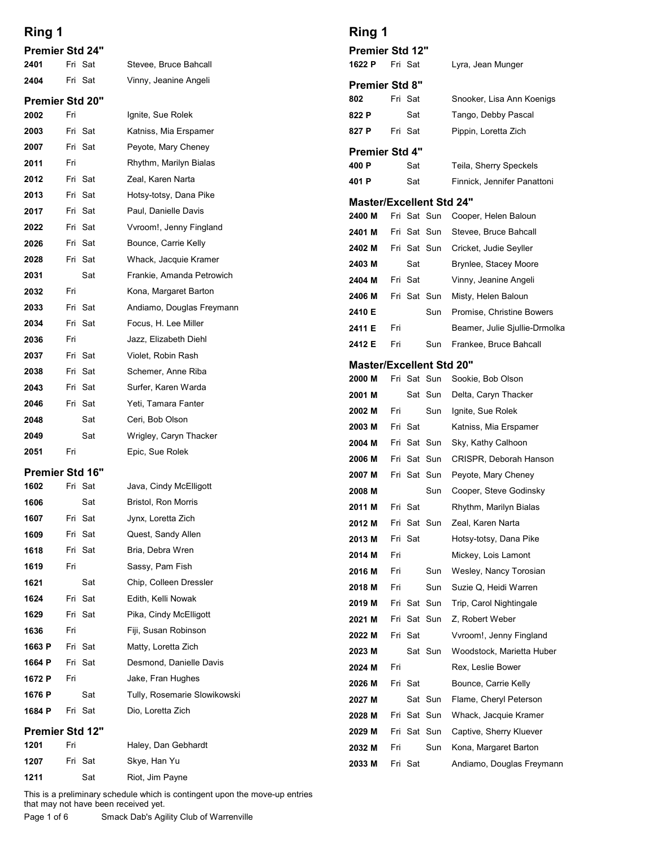| Ring 1                 |     |                    |                                                | Ring 1                                         |
|------------------------|-----|--------------------|------------------------------------------------|------------------------------------------------|
| <b>Premier Std 24"</b> |     |                    |                                                | <b>Premier Std 12"</b>                         |
| 2401                   |     | Fri Sat            | Stevee, Bruce Bahcall                          | Fri Sat<br>1622 P                              |
| 2404                   |     | Fri Sat            | Vinny, Jeanine Angeli                          | <b>Premier Std 8"</b>                          |
| <b>Premier Std 20"</b> |     |                    |                                                | 802<br>Fri Sat                                 |
| 2002                   | Fri |                    | Ignite, Sue Rolek                              | 822 P<br>Sat                                   |
| 2003                   |     | Fri Sat            | Katniss, Mia Erspamer                          | Fri Sat<br>827 P                               |
| 2007                   |     | Fri Sat            | Peyote, Mary Cheney                            | <b>Premier Std 4"</b>                          |
| 2011                   | Fri |                    | Rhythm, Marilyn Bialas                         | 400 P<br>Sat                                   |
| 2012<br>2013           |     | Fri Sat<br>Fri Sat | Zeal, Karen Narta<br>Hotsy-totsy, Dana Pike    | 401 P<br>Sat                                   |
| 2017                   |     | Fri Sat            | Paul, Danielle Davis                           | <b>Master/Excellent Std</b>                    |
| 2022                   |     | Fri Sat            | Vvroom!, Jenny Fingland                        | Fri Sat Sun<br>2400 M                          |
| 2026                   |     | Fri Sat            | Bounce, Carrie Kelly                           | Fri Sat Sun<br>2401 M<br>Fri Sat Sun           |
| 2028                   |     | Fri Sat            | Whack, Jacquie Kramer                          | 2402 M<br>2403 M<br>Sat                        |
| 2031                   |     | Sat                | Frankie, Amanda Petrowich                      | Fri Sat<br>2404 M                              |
| 2032                   | Fri |                    | Kona, Margaret Barton                          | 2406 M<br>Fri Sat Sun                          |
| 2033                   |     | Fri Sat            | Andiamo, Douglas Freymann                      | 2410 E<br>Sun                                  |
| 2034                   |     | Fri Sat            | Focus, H. Lee Miller                           | Fri<br>2411 E                                  |
| 2036                   | Fri |                    | Jazz, Elizabeth Diehl                          | Fri<br>2412 E<br>Sun                           |
| 2037                   |     | Fri Sat            | Violet, Robin Rash                             | <b>Master/Excellent Std</b>                    |
| 2038                   |     | Fri Sat            | Schemer, Anne Riba                             | 2000 M<br>Fri Sat Sun                          |
| 2043                   |     | Fri Sat            | Surfer, Karen Warda                            | 2001 M<br>Sat Sun                              |
| 2046<br>2048           |     | Fri Sat<br>Sat     | Yeti, Tamara Fanter<br>Ceri, Bob Olson         | 2002 M<br>Fri<br>Sun                           |
| 2049                   |     | Sat                | Wrigley, Caryn Thacker                         | Fri Sat<br>2003 M                              |
| 2051                   | Fri |                    | Epic, Sue Rolek                                | Fri Sat Sun<br>2004 M                          |
| Premier Std 16"        |     |                    |                                                | Fri Sat Sun<br>2006 M                          |
| 1602                   |     | Fri Sat            | Java, Cindy McElligott                         | Fri Sat Sun<br>2007 M                          |
| 1606                   |     | Sat                | Bristol, Ron Morris                            | Sun<br>2008 M                                  |
| 1607                   |     | Fri Sat            | Jynx, Loretta Zich                             | Fri Sat<br>2011 M<br>Fri Sat Sun<br>2012 M     |
| 1609                   |     | Fri Sat            | Quest, Sandy Allen                             | Fri Sat<br>2013 M                              |
| 1618                   |     | Fri Sat            | Bria, Debra Wren                               | Fri<br>2014 M                                  |
| 1619                   | Fri |                    | Sassy, Pam Fish                                | Fri<br>Sun<br>2016 M                           |
| 1621                   |     | Sat                | Chip, Colleen Dressler                         | Fri<br>Sun<br>2018 M                           |
| 1624                   |     | Fri Sat            | Edith, Kelli Nowak                             | Fri Sat Sun<br>2019 M                          |
| 1629                   |     | Fri Sat            | Pika, Cindy McElligott                         | Fri Sat Sun<br>2021 M                          |
| 1636                   | Fri |                    | Fiji, Susan Robinson                           | Fri Sat<br>2022 M                              |
| 1663 P<br>1664 P       |     | Fri Sat<br>Fri Sat | Matty, Loretta Zich<br>Desmond, Danielle Davis | 2023 M<br>Sat Sun                              |
| 1672 P                 | Fri |                    | Jake, Fran Hughes                              | 2024 M<br>Fri                                  |
| 1676 P                 |     | Sat                | Tully, Rosemarie Slowikowski                   | 2026 M<br>Fri Sat                              |
| 1684 P                 |     | Fri Sat            | Dio, Loretta Zich                              | 2027 M<br>Sat Sun                              |
| Premier Std 12"        |     |                    |                                                | Fri Sat Sun<br>2028 M<br>Fri Sat Sun<br>2029 M |
| 1201                   | Fri |                    | Haley, Dan Gebhardt                            | Fri<br>Sun<br>2032 M                           |
| 1207                   |     | Fri Sat            | Skye, Han Yu                                   | 2033 M<br>Fri Sat                              |
|                        |     | Sat                | Riot, Jim Payne                                |                                                |

## Ring 1

| Ring 1                          |     |            |             |                                                       |
|---------------------------------|-----|------------|-------------|-------------------------------------------------------|
| Premier Std 12"<br>1622 P       |     | Fri Sat    |             | Lyra, Jean Munger                                     |
| <b>Premier Std 8"</b>           |     |            |             |                                                       |
| 802                             |     | Fri Sat    |             | Snooker, Lisa Ann Koenigs                             |
| 822 P                           |     | Sat        |             | Tango, Debby Pascal                                   |
| 827 P                           |     | Fri Sat    |             | Pippin, Loretta Zich                                  |
| <b>Premier Std 4"</b>           |     |            |             |                                                       |
| 400 P<br>401 P                  |     | Sat<br>Sat |             | Teila, Sherry Speckels<br>Finnick, Jennifer Panattoni |
| <b>Master/Excellent Std 24"</b> |     |            |             |                                                       |
| 2400 M                          |     |            | Fri Sat Sun | Cooper, Helen Baloun                                  |
| 2401 M                          |     |            | Fri Sat Sun | Stevee, Bruce Bahcall                                 |
| 2402 M                          |     |            | Fri Sat Sun | Cricket, Judie Seyller                                |
| 2403 M                          |     | Sat        |             | Brynlee, Stacey Moore                                 |
| 2404 M<br>2406 M                |     | Fri Sat    | Fri Sat Sun | Vinny, Jeanine Angeli<br>Misty, Helen Baloun          |
| 2410 E                          |     |            | Sun         | Promise, Christine Bowers                             |
| 2411 E                          | Fri |            |             | Beamer, Julie Sjullie-Drmolka                         |
| 2412 E                          | Fri |            | Sun         | Frankee, Bruce Bahcall                                |
| <b>Master/Excellent Std 20"</b> |     |            |             |                                                       |
| 2000 M                          |     |            | Fri Sat Sun | Sookie, Bob Olson                                     |
| 2001 M                          |     |            | Sat Sun     | Delta, Caryn Thacker                                  |
| 2002 M                          | Fri |            | Sun         | Ignite, Sue Rolek                                     |
| 2003 M<br>2004 M                |     | Fri Sat    | Fri Sat Sun | Katniss, Mia Erspamer<br>Sky, Kathy Calhoon           |
| 2006 M                          |     |            | Fri Sat Sun | CRISPR, Deborah Hanson                                |
| 2007 M                          |     |            | Fri Sat Sun | Peyote, Mary Cheney                                   |
| 2008 M                          |     |            | Sun         | Cooper, Steve Godinsky                                |
| 2011 M                          |     | Fri Sat    |             | Rhythm, Marilyn Bialas                                |
| 2012 M                          |     |            | Fri Sat Sun | Zeal, Karen Narta                                     |
| 2013 M<br>2014 M                | Fri | Fri Sat    |             | Hotsy-totsy, Dana Pike<br>Mickey, Lois Lamont         |
| 2016 M                          | Fri |            | Sun         | Wesley, Nancy Torosian                                |
| 2018 M                          | Fri |            | Sun         | Suzie Q, Heidi Warren                                 |
| 2019 M                          |     |            | Fri Sat Sun | Trip, Carol Nightingale                               |
| 2021 M                          |     |            | Fri Sat Sun | Z, Robert Weber                                       |
| 2022 M                          |     | Fri Sat    |             | Vvroom!, Jenny Fingland                               |
| 2023 M                          |     |            | Sat Sun     | Woodstock, Marietta Huber                             |
| 2024 M<br>2026 M                | Fri | Fri Sat    |             | Rex, Leslie Bower<br>Bounce, Carrie Kelly             |
| 2027 M                          |     |            | Sat Sun     | Flame, Cheryl Peterson                                |
| 2028 M                          |     |            | Fri Sat Sun | Whack, Jacquie Kramer                                 |
| 2029 M                          |     |            | Fri Sat Sun | Captive, Sherry Kluever                               |
| 2032 M                          | Fri |            | Sun         | Kona, Margaret Barton                                 |
|                                 |     | Fri Sat    |             | Andiamo, Douglas Freymann                             |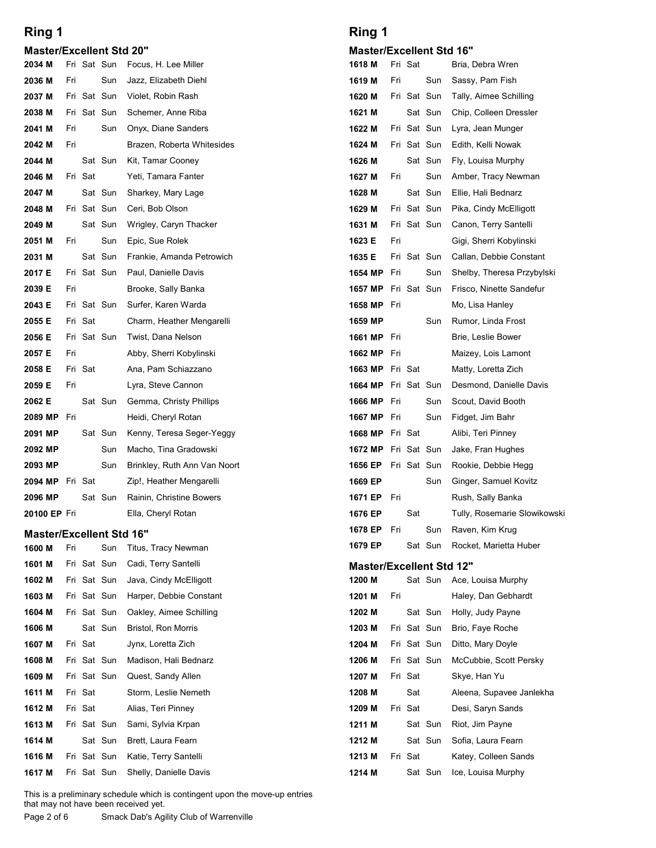#### Master/Excellent Std 20"

| <b>Master/Excellent Std 20"</b><br><b>Master/Excellent Std</b><br>Fri Sat<br>2034 M<br>Fri Sat Sun<br>Focus, H. Lee Miller<br>1618 M<br>Sun<br>Fri<br>Sun<br>2036 M<br>Fri<br>Jazz, Elizabeth Diehl<br>1619 M<br>2037 M<br>Fri Sat Sun<br>Violet, Robin Rash<br>1620 M<br>Fri Sat Sun<br>Fri Sat Sun<br>Schemer, Anne Riba<br>1621 M<br>Sat Sun<br>2038 M<br>Fri Sat Sun<br>2041 M<br>Fri<br>Sun<br>Onyx, Diane Sanders<br>1622 M<br>2042 M<br>Fri<br>Brazen, Roberta Whitesides<br>1624 M<br>Fri Sat Sun<br>2044 M<br>Sat Sun<br>1626 M<br>Sat Sun<br>Kit, Tamar Cooney<br>Fri Sat<br>Yeti, Tamara Fanter<br>1627 M<br>Fri<br>Sun<br>2046 M<br>Sat Sun<br>Sat Sun<br>2047 M<br>Sharkey, Mary Lage<br>1628 M<br>Fri Sat Sun<br>Fri Sat Sun<br>Ceri, Bob Olson<br>1629 M<br>2048 M<br>Fri Sat Sun<br>Sat Sun<br>2049 M<br>Wrigley, Caryn Thacker<br>1631 M<br>Fri<br>Sun<br>Epic, Sue Rolek<br>1623 E<br>Fri<br>2051 M<br>Sat Sun<br>Fri Sat Sun<br>Frankie, Amanda Petrowich<br>1635 E<br>2031 M<br>Fri Sat Sun<br>Paul, Danielle Davis<br>Sun<br>2017 E<br><b>1654 MP</b> Fri<br>2039 E<br>Fri<br>Brooke, Sally Banka<br>1657 MP Fri Sat Sun<br>Fri Sat Sun<br>Surfer, Karen Warda<br>1658 MP Fri<br>2043 E<br>Fri Sat<br>2055 E<br>Charm, Heather Mengarelli<br>1659 MP<br>Sun<br>Fri Sat Sun<br>2056 E<br>Twist, Dana Nelson<br><b>1661 MP</b> Fri<br>Fri<br>Abby, Sherri Kobylinski<br>1662 MP Fri<br>2057 E<br>Fri Sat<br>2058 E<br>Ana, Pam Schiazzano<br><b>1663 MP</b> Fri Sat<br>2059 E<br>1664 MP Fri Sat Sun<br>Fri<br>Lyra, Steve Cannon<br>1666 MP Fri<br>2062 E<br>Sat Sun<br>Gemma, Christy Phillips<br>Sun<br>1667 MP<br>Sun<br>2089 MP<br>Heidi, Cheryl Rotan<br>Fri<br>Fri<br>Sat Sun<br>1668 MP Fri Sat<br>2091 MP<br>Kenny, Teresa Seger-Yeggy<br>1672 MP Fri Sat Sun<br>2092 MP<br>Sun<br>Macho, Tina Gradowski<br>Fri Sat Sun<br>Sun<br>Brinkley, Ruth Ann Van Noort<br>1656 EP<br>2093 MP<br>2094 MP Fri Sat<br>Zip!, Heather Mengarelli<br>1669 EP<br>Sun<br>Sat Sun<br>Rainin, Christine Bowers<br>2096 MP<br>1671 EP<br>Fri<br>1676 EP<br>Sat<br>Ella, Cheryl Rotan<br>20100 EP Fri<br>1678 EP<br>Sun<br>Fri<br><b>Master/Excellent Std 16"</b><br>1679 EP<br>Sat Sun<br>1600 M<br>Fri<br>Sun<br>Titus, Tracy Newman<br>1601 M<br>Fri Sat Sun<br>Cadi, Terry Santelli<br><b>Master/Excellent Std</b><br>Sat Sun<br>Fri Sat Sun<br>Java, Cindy McElligott<br>1200 M<br>1602 M<br>1603 M<br>Fri Sat Sun<br>Harper, Debbie Constant<br>1201 M<br>Fri<br>Fri Sat Sun<br>Oakley, Aimee Schilling<br>1202 M<br>Sat Sun<br>1604 M<br>Sat Sun<br>Fri Sat Sun<br>1606 M<br>Bristol, Ron Morris<br>1203 M<br>Fri Sat Sun<br>Fri Sat<br>Jynx, Loretta Zich<br>1607 M<br>1204 M<br>Fri Sat Sun<br>1608 M<br>Fri Sat Sun<br>Madison, Hali Bednarz<br>1206 M<br>Fri Sat Sun<br>Quest, Sandy Allen<br>Fri Sat<br>1609 M<br>1207 M<br>Fri Sat<br>1611 M<br>Storm, Leslie Nemeth<br>1208 M<br>Sat<br>Fri Sat<br>Alias, Teri Pinney<br>1209 M<br>Fri Sat<br>1612 M<br>1613 M<br>Fri Sat Sun<br>Sami, Sylvia Krpan<br>1211 M<br>Sat Sun<br>1614 M<br>Sat Sun<br>Brett, Laura Fearn<br>1212 M<br>Sat Sun<br>1616 M<br>Fri Sat Sun<br>Katie, Terry Santelli<br>1213 M<br>Fri Sat<br>1617 M<br>Fri Sat Sun<br>Shelly, Danielle Davis<br>1214 M<br>Sat Sun<br>This is a preliminary schedule which is contingent upon the move-up entries<br>that may not have been received yet.<br>Page 2 of 6<br>Smack Dab's Agility Club of Warrenville | Ring 1 |  |  | Ring 1 |  |  |
|------------------------------------------------------------------------------------------------------------------------------------------------------------------------------------------------------------------------------------------------------------------------------------------------------------------------------------------------------------------------------------------------------------------------------------------------------------------------------------------------------------------------------------------------------------------------------------------------------------------------------------------------------------------------------------------------------------------------------------------------------------------------------------------------------------------------------------------------------------------------------------------------------------------------------------------------------------------------------------------------------------------------------------------------------------------------------------------------------------------------------------------------------------------------------------------------------------------------------------------------------------------------------------------------------------------------------------------------------------------------------------------------------------------------------------------------------------------------------------------------------------------------------------------------------------------------------------------------------------------------------------------------------------------------------------------------------------------------------------------------------------------------------------------------------------------------------------------------------------------------------------------------------------------------------------------------------------------------------------------------------------------------------------------------------------------------------------------------------------------------------------------------------------------------------------------------------------------------------------------------------------------------------------------------------------------------------------------------------------------------------------------------------------------------------------------------------------------------------------------------------------------------------------------------------------------------------------------------------------------------------------------------------------------------------------------------------------------------------------------------------------------------------------------------------------------------------------------------------------------------------------------------------------------------------------------------------------------------------------------------------------------------------------------------------------------------------------------------------------------------------------------------------------------------------------------------------------------------------------------------------------------------------------------------------------------------------------------------------------------------------------------------------------------------------------------------|--------|--|--|--------|--|--|
|                                                                                                                                                                                                                                                                                                                                                                                                                                                                                                                                                                                                                                                                                                                                                                                                                                                                                                                                                                                                                                                                                                                                                                                                                                                                                                                                                                                                                                                                                                                                                                                                                                                                                                                                                                                                                                                                                                                                                                                                                                                                                                                                                                                                                                                                                                                                                                                                                                                                                                                                                                                                                                                                                                                                                                                                                                                                                                                                                                                                                                                                                                                                                                                                                                                                                                                                                                                                                                                |        |  |  |        |  |  |
|                                                                                                                                                                                                                                                                                                                                                                                                                                                                                                                                                                                                                                                                                                                                                                                                                                                                                                                                                                                                                                                                                                                                                                                                                                                                                                                                                                                                                                                                                                                                                                                                                                                                                                                                                                                                                                                                                                                                                                                                                                                                                                                                                                                                                                                                                                                                                                                                                                                                                                                                                                                                                                                                                                                                                                                                                                                                                                                                                                                                                                                                                                                                                                                                                                                                                                                                                                                                                                                |        |  |  |        |  |  |
|                                                                                                                                                                                                                                                                                                                                                                                                                                                                                                                                                                                                                                                                                                                                                                                                                                                                                                                                                                                                                                                                                                                                                                                                                                                                                                                                                                                                                                                                                                                                                                                                                                                                                                                                                                                                                                                                                                                                                                                                                                                                                                                                                                                                                                                                                                                                                                                                                                                                                                                                                                                                                                                                                                                                                                                                                                                                                                                                                                                                                                                                                                                                                                                                                                                                                                                                                                                                                                                |        |  |  |        |  |  |
|                                                                                                                                                                                                                                                                                                                                                                                                                                                                                                                                                                                                                                                                                                                                                                                                                                                                                                                                                                                                                                                                                                                                                                                                                                                                                                                                                                                                                                                                                                                                                                                                                                                                                                                                                                                                                                                                                                                                                                                                                                                                                                                                                                                                                                                                                                                                                                                                                                                                                                                                                                                                                                                                                                                                                                                                                                                                                                                                                                                                                                                                                                                                                                                                                                                                                                                                                                                                                                                |        |  |  |        |  |  |
|                                                                                                                                                                                                                                                                                                                                                                                                                                                                                                                                                                                                                                                                                                                                                                                                                                                                                                                                                                                                                                                                                                                                                                                                                                                                                                                                                                                                                                                                                                                                                                                                                                                                                                                                                                                                                                                                                                                                                                                                                                                                                                                                                                                                                                                                                                                                                                                                                                                                                                                                                                                                                                                                                                                                                                                                                                                                                                                                                                                                                                                                                                                                                                                                                                                                                                                                                                                                                                                |        |  |  |        |  |  |
|                                                                                                                                                                                                                                                                                                                                                                                                                                                                                                                                                                                                                                                                                                                                                                                                                                                                                                                                                                                                                                                                                                                                                                                                                                                                                                                                                                                                                                                                                                                                                                                                                                                                                                                                                                                                                                                                                                                                                                                                                                                                                                                                                                                                                                                                                                                                                                                                                                                                                                                                                                                                                                                                                                                                                                                                                                                                                                                                                                                                                                                                                                                                                                                                                                                                                                                                                                                                                                                |        |  |  |        |  |  |
|                                                                                                                                                                                                                                                                                                                                                                                                                                                                                                                                                                                                                                                                                                                                                                                                                                                                                                                                                                                                                                                                                                                                                                                                                                                                                                                                                                                                                                                                                                                                                                                                                                                                                                                                                                                                                                                                                                                                                                                                                                                                                                                                                                                                                                                                                                                                                                                                                                                                                                                                                                                                                                                                                                                                                                                                                                                                                                                                                                                                                                                                                                                                                                                                                                                                                                                                                                                                                                                |        |  |  |        |  |  |
|                                                                                                                                                                                                                                                                                                                                                                                                                                                                                                                                                                                                                                                                                                                                                                                                                                                                                                                                                                                                                                                                                                                                                                                                                                                                                                                                                                                                                                                                                                                                                                                                                                                                                                                                                                                                                                                                                                                                                                                                                                                                                                                                                                                                                                                                                                                                                                                                                                                                                                                                                                                                                                                                                                                                                                                                                                                                                                                                                                                                                                                                                                                                                                                                                                                                                                                                                                                                                                                |        |  |  |        |  |  |
|                                                                                                                                                                                                                                                                                                                                                                                                                                                                                                                                                                                                                                                                                                                                                                                                                                                                                                                                                                                                                                                                                                                                                                                                                                                                                                                                                                                                                                                                                                                                                                                                                                                                                                                                                                                                                                                                                                                                                                                                                                                                                                                                                                                                                                                                                                                                                                                                                                                                                                                                                                                                                                                                                                                                                                                                                                                                                                                                                                                                                                                                                                                                                                                                                                                                                                                                                                                                                                                |        |  |  |        |  |  |
|                                                                                                                                                                                                                                                                                                                                                                                                                                                                                                                                                                                                                                                                                                                                                                                                                                                                                                                                                                                                                                                                                                                                                                                                                                                                                                                                                                                                                                                                                                                                                                                                                                                                                                                                                                                                                                                                                                                                                                                                                                                                                                                                                                                                                                                                                                                                                                                                                                                                                                                                                                                                                                                                                                                                                                                                                                                                                                                                                                                                                                                                                                                                                                                                                                                                                                                                                                                                                                                |        |  |  |        |  |  |
|                                                                                                                                                                                                                                                                                                                                                                                                                                                                                                                                                                                                                                                                                                                                                                                                                                                                                                                                                                                                                                                                                                                                                                                                                                                                                                                                                                                                                                                                                                                                                                                                                                                                                                                                                                                                                                                                                                                                                                                                                                                                                                                                                                                                                                                                                                                                                                                                                                                                                                                                                                                                                                                                                                                                                                                                                                                                                                                                                                                                                                                                                                                                                                                                                                                                                                                                                                                                                                                |        |  |  |        |  |  |
|                                                                                                                                                                                                                                                                                                                                                                                                                                                                                                                                                                                                                                                                                                                                                                                                                                                                                                                                                                                                                                                                                                                                                                                                                                                                                                                                                                                                                                                                                                                                                                                                                                                                                                                                                                                                                                                                                                                                                                                                                                                                                                                                                                                                                                                                                                                                                                                                                                                                                                                                                                                                                                                                                                                                                                                                                                                                                                                                                                                                                                                                                                                                                                                                                                                                                                                                                                                                                                                |        |  |  |        |  |  |
|                                                                                                                                                                                                                                                                                                                                                                                                                                                                                                                                                                                                                                                                                                                                                                                                                                                                                                                                                                                                                                                                                                                                                                                                                                                                                                                                                                                                                                                                                                                                                                                                                                                                                                                                                                                                                                                                                                                                                                                                                                                                                                                                                                                                                                                                                                                                                                                                                                                                                                                                                                                                                                                                                                                                                                                                                                                                                                                                                                                                                                                                                                                                                                                                                                                                                                                                                                                                                                                |        |  |  |        |  |  |
|                                                                                                                                                                                                                                                                                                                                                                                                                                                                                                                                                                                                                                                                                                                                                                                                                                                                                                                                                                                                                                                                                                                                                                                                                                                                                                                                                                                                                                                                                                                                                                                                                                                                                                                                                                                                                                                                                                                                                                                                                                                                                                                                                                                                                                                                                                                                                                                                                                                                                                                                                                                                                                                                                                                                                                                                                                                                                                                                                                                                                                                                                                                                                                                                                                                                                                                                                                                                                                                |        |  |  |        |  |  |
|                                                                                                                                                                                                                                                                                                                                                                                                                                                                                                                                                                                                                                                                                                                                                                                                                                                                                                                                                                                                                                                                                                                                                                                                                                                                                                                                                                                                                                                                                                                                                                                                                                                                                                                                                                                                                                                                                                                                                                                                                                                                                                                                                                                                                                                                                                                                                                                                                                                                                                                                                                                                                                                                                                                                                                                                                                                                                                                                                                                                                                                                                                                                                                                                                                                                                                                                                                                                                                                |        |  |  |        |  |  |
|                                                                                                                                                                                                                                                                                                                                                                                                                                                                                                                                                                                                                                                                                                                                                                                                                                                                                                                                                                                                                                                                                                                                                                                                                                                                                                                                                                                                                                                                                                                                                                                                                                                                                                                                                                                                                                                                                                                                                                                                                                                                                                                                                                                                                                                                                                                                                                                                                                                                                                                                                                                                                                                                                                                                                                                                                                                                                                                                                                                                                                                                                                                                                                                                                                                                                                                                                                                                                                                |        |  |  |        |  |  |
|                                                                                                                                                                                                                                                                                                                                                                                                                                                                                                                                                                                                                                                                                                                                                                                                                                                                                                                                                                                                                                                                                                                                                                                                                                                                                                                                                                                                                                                                                                                                                                                                                                                                                                                                                                                                                                                                                                                                                                                                                                                                                                                                                                                                                                                                                                                                                                                                                                                                                                                                                                                                                                                                                                                                                                                                                                                                                                                                                                                                                                                                                                                                                                                                                                                                                                                                                                                                                                                |        |  |  |        |  |  |
|                                                                                                                                                                                                                                                                                                                                                                                                                                                                                                                                                                                                                                                                                                                                                                                                                                                                                                                                                                                                                                                                                                                                                                                                                                                                                                                                                                                                                                                                                                                                                                                                                                                                                                                                                                                                                                                                                                                                                                                                                                                                                                                                                                                                                                                                                                                                                                                                                                                                                                                                                                                                                                                                                                                                                                                                                                                                                                                                                                                                                                                                                                                                                                                                                                                                                                                                                                                                                                                |        |  |  |        |  |  |
|                                                                                                                                                                                                                                                                                                                                                                                                                                                                                                                                                                                                                                                                                                                                                                                                                                                                                                                                                                                                                                                                                                                                                                                                                                                                                                                                                                                                                                                                                                                                                                                                                                                                                                                                                                                                                                                                                                                                                                                                                                                                                                                                                                                                                                                                                                                                                                                                                                                                                                                                                                                                                                                                                                                                                                                                                                                                                                                                                                                                                                                                                                                                                                                                                                                                                                                                                                                                                                                |        |  |  |        |  |  |
|                                                                                                                                                                                                                                                                                                                                                                                                                                                                                                                                                                                                                                                                                                                                                                                                                                                                                                                                                                                                                                                                                                                                                                                                                                                                                                                                                                                                                                                                                                                                                                                                                                                                                                                                                                                                                                                                                                                                                                                                                                                                                                                                                                                                                                                                                                                                                                                                                                                                                                                                                                                                                                                                                                                                                                                                                                                                                                                                                                                                                                                                                                                                                                                                                                                                                                                                                                                                                                                |        |  |  |        |  |  |
|                                                                                                                                                                                                                                                                                                                                                                                                                                                                                                                                                                                                                                                                                                                                                                                                                                                                                                                                                                                                                                                                                                                                                                                                                                                                                                                                                                                                                                                                                                                                                                                                                                                                                                                                                                                                                                                                                                                                                                                                                                                                                                                                                                                                                                                                                                                                                                                                                                                                                                                                                                                                                                                                                                                                                                                                                                                                                                                                                                                                                                                                                                                                                                                                                                                                                                                                                                                                                                                |        |  |  |        |  |  |
|                                                                                                                                                                                                                                                                                                                                                                                                                                                                                                                                                                                                                                                                                                                                                                                                                                                                                                                                                                                                                                                                                                                                                                                                                                                                                                                                                                                                                                                                                                                                                                                                                                                                                                                                                                                                                                                                                                                                                                                                                                                                                                                                                                                                                                                                                                                                                                                                                                                                                                                                                                                                                                                                                                                                                                                                                                                                                                                                                                                                                                                                                                                                                                                                                                                                                                                                                                                                                                                |        |  |  |        |  |  |
|                                                                                                                                                                                                                                                                                                                                                                                                                                                                                                                                                                                                                                                                                                                                                                                                                                                                                                                                                                                                                                                                                                                                                                                                                                                                                                                                                                                                                                                                                                                                                                                                                                                                                                                                                                                                                                                                                                                                                                                                                                                                                                                                                                                                                                                                                                                                                                                                                                                                                                                                                                                                                                                                                                                                                                                                                                                                                                                                                                                                                                                                                                                                                                                                                                                                                                                                                                                                                                                |        |  |  |        |  |  |
|                                                                                                                                                                                                                                                                                                                                                                                                                                                                                                                                                                                                                                                                                                                                                                                                                                                                                                                                                                                                                                                                                                                                                                                                                                                                                                                                                                                                                                                                                                                                                                                                                                                                                                                                                                                                                                                                                                                                                                                                                                                                                                                                                                                                                                                                                                                                                                                                                                                                                                                                                                                                                                                                                                                                                                                                                                                                                                                                                                                                                                                                                                                                                                                                                                                                                                                                                                                                                                                |        |  |  |        |  |  |
|                                                                                                                                                                                                                                                                                                                                                                                                                                                                                                                                                                                                                                                                                                                                                                                                                                                                                                                                                                                                                                                                                                                                                                                                                                                                                                                                                                                                                                                                                                                                                                                                                                                                                                                                                                                                                                                                                                                                                                                                                                                                                                                                                                                                                                                                                                                                                                                                                                                                                                                                                                                                                                                                                                                                                                                                                                                                                                                                                                                                                                                                                                                                                                                                                                                                                                                                                                                                                                                |        |  |  |        |  |  |
|                                                                                                                                                                                                                                                                                                                                                                                                                                                                                                                                                                                                                                                                                                                                                                                                                                                                                                                                                                                                                                                                                                                                                                                                                                                                                                                                                                                                                                                                                                                                                                                                                                                                                                                                                                                                                                                                                                                                                                                                                                                                                                                                                                                                                                                                                                                                                                                                                                                                                                                                                                                                                                                                                                                                                                                                                                                                                                                                                                                                                                                                                                                                                                                                                                                                                                                                                                                                                                                |        |  |  |        |  |  |
|                                                                                                                                                                                                                                                                                                                                                                                                                                                                                                                                                                                                                                                                                                                                                                                                                                                                                                                                                                                                                                                                                                                                                                                                                                                                                                                                                                                                                                                                                                                                                                                                                                                                                                                                                                                                                                                                                                                                                                                                                                                                                                                                                                                                                                                                                                                                                                                                                                                                                                                                                                                                                                                                                                                                                                                                                                                                                                                                                                                                                                                                                                                                                                                                                                                                                                                                                                                                                                                |        |  |  |        |  |  |
|                                                                                                                                                                                                                                                                                                                                                                                                                                                                                                                                                                                                                                                                                                                                                                                                                                                                                                                                                                                                                                                                                                                                                                                                                                                                                                                                                                                                                                                                                                                                                                                                                                                                                                                                                                                                                                                                                                                                                                                                                                                                                                                                                                                                                                                                                                                                                                                                                                                                                                                                                                                                                                                                                                                                                                                                                                                                                                                                                                                                                                                                                                                                                                                                                                                                                                                                                                                                                                                |        |  |  |        |  |  |
|                                                                                                                                                                                                                                                                                                                                                                                                                                                                                                                                                                                                                                                                                                                                                                                                                                                                                                                                                                                                                                                                                                                                                                                                                                                                                                                                                                                                                                                                                                                                                                                                                                                                                                                                                                                                                                                                                                                                                                                                                                                                                                                                                                                                                                                                                                                                                                                                                                                                                                                                                                                                                                                                                                                                                                                                                                                                                                                                                                                                                                                                                                                                                                                                                                                                                                                                                                                                                                                |        |  |  |        |  |  |
|                                                                                                                                                                                                                                                                                                                                                                                                                                                                                                                                                                                                                                                                                                                                                                                                                                                                                                                                                                                                                                                                                                                                                                                                                                                                                                                                                                                                                                                                                                                                                                                                                                                                                                                                                                                                                                                                                                                                                                                                                                                                                                                                                                                                                                                                                                                                                                                                                                                                                                                                                                                                                                                                                                                                                                                                                                                                                                                                                                                                                                                                                                                                                                                                                                                                                                                                                                                                                                                |        |  |  |        |  |  |
|                                                                                                                                                                                                                                                                                                                                                                                                                                                                                                                                                                                                                                                                                                                                                                                                                                                                                                                                                                                                                                                                                                                                                                                                                                                                                                                                                                                                                                                                                                                                                                                                                                                                                                                                                                                                                                                                                                                                                                                                                                                                                                                                                                                                                                                                                                                                                                                                                                                                                                                                                                                                                                                                                                                                                                                                                                                                                                                                                                                                                                                                                                                                                                                                                                                                                                                                                                                                                                                |        |  |  |        |  |  |
|                                                                                                                                                                                                                                                                                                                                                                                                                                                                                                                                                                                                                                                                                                                                                                                                                                                                                                                                                                                                                                                                                                                                                                                                                                                                                                                                                                                                                                                                                                                                                                                                                                                                                                                                                                                                                                                                                                                                                                                                                                                                                                                                                                                                                                                                                                                                                                                                                                                                                                                                                                                                                                                                                                                                                                                                                                                                                                                                                                                                                                                                                                                                                                                                                                                                                                                                                                                                                                                |        |  |  |        |  |  |
|                                                                                                                                                                                                                                                                                                                                                                                                                                                                                                                                                                                                                                                                                                                                                                                                                                                                                                                                                                                                                                                                                                                                                                                                                                                                                                                                                                                                                                                                                                                                                                                                                                                                                                                                                                                                                                                                                                                                                                                                                                                                                                                                                                                                                                                                                                                                                                                                                                                                                                                                                                                                                                                                                                                                                                                                                                                                                                                                                                                                                                                                                                                                                                                                                                                                                                                                                                                                                                                |        |  |  |        |  |  |
|                                                                                                                                                                                                                                                                                                                                                                                                                                                                                                                                                                                                                                                                                                                                                                                                                                                                                                                                                                                                                                                                                                                                                                                                                                                                                                                                                                                                                                                                                                                                                                                                                                                                                                                                                                                                                                                                                                                                                                                                                                                                                                                                                                                                                                                                                                                                                                                                                                                                                                                                                                                                                                                                                                                                                                                                                                                                                                                                                                                                                                                                                                                                                                                                                                                                                                                                                                                                                                                |        |  |  |        |  |  |
|                                                                                                                                                                                                                                                                                                                                                                                                                                                                                                                                                                                                                                                                                                                                                                                                                                                                                                                                                                                                                                                                                                                                                                                                                                                                                                                                                                                                                                                                                                                                                                                                                                                                                                                                                                                                                                                                                                                                                                                                                                                                                                                                                                                                                                                                                                                                                                                                                                                                                                                                                                                                                                                                                                                                                                                                                                                                                                                                                                                                                                                                                                                                                                                                                                                                                                                                                                                                                                                |        |  |  |        |  |  |
|                                                                                                                                                                                                                                                                                                                                                                                                                                                                                                                                                                                                                                                                                                                                                                                                                                                                                                                                                                                                                                                                                                                                                                                                                                                                                                                                                                                                                                                                                                                                                                                                                                                                                                                                                                                                                                                                                                                                                                                                                                                                                                                                                                                                                                                                                                                                                                                                                                                                                                                                                                                                                                                                                                                                                                                                                                                                                                                                                                                                                                                                                                                                                                                                                                                                                                                                                                                                                                                |        |  |  |        |  |  |
|                                                                                                                                                                                                                                                                                                                                                                                                                                                                                                                                                                                                                                                                                                                                                                                                                                                                                                                                                                                                                                                                                                                                                                                                                                                                                                                                                                                                                                                                                                                                                                                                                                                                                                                                                                                                                                                                                                                                                                                                                                                                                                                                                                                                                                                                                                                                                                                                                                                                                                                                                                                                                                                                                                                                                                                                                                                                                                                                                                                                                                                                                                                                                                                                                                                                                                                                                                                                                                                |        |  |  |        |  |  |
|                                                                                                                                                                                                                                                                                                                                                                                                                                                                                                                                                                                                                                                                                                                                                                                                                                                                                                                                                                                                                                                                                                                                                                                                                                                                                                                                                                                                                                                                                                                                                                                                                                                                                                                                                                                                                                                                                                                                                                                                                                                                                                                                                                                                                                                                                                                                                                                                                                                                                                                                                                                                                                                                                                                                                                                                                                                                                                                                                                                                                                                                                                                                                                                                                                                                                                                                                                                                                                                |        |  |  |        |  |  |
|                                                                                                                                                                                                                                                                                                                                                                                                                                                                                                                                                                                                                                                                                                                                                                                                                                                                                                                                                                                                                                                                                                                                                                                                                                                                                                                                                                                                                                                                                                                                                                                                                                                                                                                                                                                                                                                                                                                                                                                                                                                                                                                                                                                                                                                                                                                                                                                                                                                                                                                                                                                                                                                                                                                                                                                                                                                                                                                                                                                                                                                                                                                                                                                                                                                                                                                                                                                                                                                |        |  |  |        |  |  |
|                                                                                                                                                                                                                                                                                                                                                                                                                                                                                                                                                                                                                                                                                                                                                                                                                                                                                                                                                                                                                                                                                                                                                                                                                                                                                                                                                                                                                                                                                                                                                                                                                                                                                                                                                                                                                                                                                                                                                                                                                                                                                                                                                                                                                                                                                                                                                                                                                                                                                                                                                                                                                                                                                                                                                                                                                                                                                                                                                                                                                                                                                                                                                                                                                                                                                                                                                                                                                                                |        |  |  |        |  |  |
|                                                                                                                                                                                                                                                                                                                                                                                                                                                                                                                                                                                                                                                                                                                                                                                                                                                                                                                                                                                                                                                                                                                                                                                                                                                                                                                                                                                                                                                                                                                                                                                                                                                                                                                                                                                                                                                                                                                                                                                                                                                                                                                                                                                                                                                                                                                                                                                                                                                                                                                                                                                                                                                                                                                                                                                                                                                                                                                                                                                                                                                                                                                                                                                                                                                                                                                                                                                                                                                |        |  |  |        |  |  |
|                                                                                                                                                                                                                                                                                                                                                                                                                                                                                                                                                                                                                                                                                                                                                                                                                                                                                                                                                                                                                                                                                                                                                                                                                                                                                                                                                                                                                                                                                                                                                                                                                                                                                                                                                                                                                                                                                                                                                                                                                                                                                                                                                                                                                                                                                                                                                                                                                                                                                                                                                                                                                                                                                                                                                                                                                                                                                                                                                                                                                                                                                                                                                                                                                                                                                                                                                                                                                                                |        |  |  |        |  |  |
|                                                                                                                                                                                                                                                                                                                                                                                                                                                                                                                                                                                                                                                                                                                                                                                                                                                                                                                                                                                                                                                                                                                                                                                                                                                                                                                                                                                                                                                                                                                                                                                                                                                                                                                                                                                                                                                                                                                                                                                                                                                                                                                                                                                                                                                                                                                                                                                                                                                                                                                                                                                                                                                                                                                                                                                                                                                                                                                                                                                                                                                                                                                                                                                                                                                                                                                                                                                                                                                |        |  |  |        |  |  |
|                                                                                                                                                                                                                                                                                                                                                                                                                                                                                                                                                                                                                                                                                                                                                                                                                                                                                                                                                                                                                                                                                                                                                                                                                                                                                                                                                                                                                                                                                                                                                                                                                                                                                                                                                                                                                                                                                                                                                                                                                                                                                                                                                                                                                                                                                                                                                                                                                                                                                                                                                                                                                                                                                                                                                                                                                                                                                                                                                                                                                                                                                                                                                                                                                                                                                                                                                                                                                                                |        |  |  |        |  |  |
|                                                                                                                                                                                                                                                                                                                                                                                                                                                                                                                                                                                                                                                                                                                                                                                                                                                                                                                                                                                                                                                                                                                                                                                                                                                                                                                                                                                                                                                                                                                                                                                                                                                                                                                                                                                                                                                                                                                                                                                                                                                                                                                                                                                                                                                                                                                                                                                                                                                                                                                                                                                                                                                                                                                                                                                                                                                                                                                                                                                                                                                                                                                                                                                                                                                                                                                                                                                                                                                |        |  |  |        |  |  |
|                                                                                                                                                                                                                                                                                                                                                                                                                                                                                                                                                                                                                                                                                                                                                                                                                                                                                                                                                                                                                                                                                                                                                                                                                                                                                                                                                                                                                                                                                                                                                                                                                                                                                                                                                                                                                                                                                                                                                                                                                                                                                                                                                                                                                                                                                                                                                                                                                                                                                                                                                                                                                                                                                                                                                                                                                                                                                                                                                                                                                                                                                                                                                                                                                                                                                                                                                                                                                                                |        |  |  |        |  |  |

## Ring 1

| Ring 1           |              |                 |                            |                                                   | Ring 1                          |     |         |                            |                                           |
|------------------|--------------|-----------------|----------------------------|---------------------------------------------------|---------------------------------|-----|---------|----------------------------|-------------------------------------------|
|                  |              |                 |                            | <b>Master/Excellent Std 20"</b>                   | <b>Master/Excellent Std 16"</b> |     |         |                            |                                           |
| 2034 M           |              |                 | Fri Sat Sun                | Focus, H. Lee Miller                              | 1618 M                          |     | Fri Sat |                            | Bria, Debra Wren                          |
| 2036 M           | Fri          |                 | Sun                        | Jazz, Elizabeth Diehl                             | 1619 M                          | Fri |         | Sun                        | Sassy, Pam Fish                           |
| 2037 M           |              |                 | Fri Sat Sun                | Violet, Robin Rash                                | 1620 M                          |     |         | Fri Sat Sun                | Tally, Aimee Schilling                    |
| 2038 M           |              |                 | Fri Sat Sun                | Schemer, Anne Riba                                | 1621 M                          |     |         | Sat Sun                    | Chip, Colleen Dressler                    |
| 2041 M<br>2042 M | Fri<br>Fri   |                 | Sun                        | Onyx, Diane Sanders<br>Brazen, Roberta Whitesides | 1622 M<br>1624 M                |     |         | Fri Sat Sun<br>Fri Sat Sun | Lyra, Jean Munger<br>Edith, Kelli Nowak   |
| 2044 M           |              |                 | Sat Sun                    | Kit, Tamar Cooney                                 | 1626 M                          |     |         | Sat Sun                    | Fly, Louisa Murphy                        |
| 2046 M           |              | Fri Sat         |                            | Yeti, Tamara Fanter                               | 1627 M                          | Fri |         | Sun                        | Amber, Tracy Newman                       |
| 2047 M           |              |                 | Sat Sun                    | Sharkey, Mary Lage                                | 1628 M                          |     |         | Sat Sun                    | Ellie, Hali Bednarz                       |
| 2048 M           |              |                 | Fri Sat Sun                | Ceri, Bob Olson                                   | 1629 M                          |     |         | Fri Sat Sun                | Pika, Cindy McElligott                    |
| 2049 M           |              |                 | Sat Sun                    | Wrigley, Caryn Thacker                            | 1631 M                          |     |         | Fri Sat Sun                | Canon, Terry Santelli                     |
| 2051 M           | Fri          |                 | Sun                        | Epic, Sue Rolek                                   | 1623 E                          | Fri |         |                            | Gigi, Sherri Kobylinski                   |
| 2031 M           |              |                 | Sat Sun                    | Frankie, Amanda Petrowich                         | 1635 E                          |     |         | Fri Sat Sun                | Callan, Debbie Constant                   |
| 2017 E           |              |                 | Fri Sat Sun                | Paul, Danielle Davis                              | 1654 MP Fri                     |     |         | Sun                        | Shelby, Theresa Przybylski                |
| 2039 E           | Fri          |                 |                            | Brooke, Sally Banka                               | 1657 MP                         |     |         | Fri Sat Sun                | Frisco, Ninette Sandefur                  |
| 2043 E           |              |                 | Fri Sat Sun                | Surfer, Karen Warda                               | 1658 MP Fri                     |     |         |                            | Mo, Lisa Hanley                           |
| 2055 E           |              | Fri Sat         |                            | Charm, Heather Mengarelli<br>Twist, Dana Nelson   | 1659 MP<br>1661 MP Fri          |     |         | Sun                        | Rumor, Linda Frost<br>Brie, Leslie Bower  |
| 2056 E<br>2057 E | Fri          |                 | Fri Sat Sun                | Abby, Sherri Kobylinski                           | 1662 MP Fri                     |     |         |                            | Maizey, Lois Lamont                       |
| 2058 E           |              | Fri Sat         |                            | Ana, Pam Schiazzano                               | 1663 MP Fri Sat                 |     |         |                            | Matty, Loretta Zich                       |
| 2059 E           | Fri          |                 |                            | Lyra, Steve Cannon                                | 1664 MP Fri Sat Sun             |     |         |                            | Desmond, Danielle Davis                   |
| 2062 E           |              |                 | Sat Sun                    | Gemma, Christy Phillips                           | 1666 MP Fri                     |     |         | Sun                        | Scout, David Booth                        |
|                  | 2089 MP Fri  |                 |                            | Heidi, Cheryl Rotan                               | 1667 MP Fri                     |     |         | Sun                        | Fidget, Jim Bahr                          |
| 2091 MP          |              |                 | Sat Sun                    | Kenny, Teresa Seger-Yeggy                         | 1668 MP Fri Sat                 |     |         |                            | Alibi, Teri Pinney                        |
| 2092 MP          |              |                 | Sun                        | Macho, Tina Gradowski                             | 1672 MP Fri Sat Sun             |     |         |                            | Jake, Fran Hughes                         |
| 2093 MP          |              |                 | Sun                        | Brinkley, Ruth Ann Van Noort                      | 1656 EP Fri Sat Sun             |     |         |                            | Rookie, Debbie Hegg                       |
|                  |              | 2094 MP Fri Sat |                            | Zip!, Heather Mengarelli                          | 1669 EP                         |     |         | Sun                        | Ginger, Samuel Kovitz                     |
| 2096 MP          |              |                 | Sat Sun                    | Rainin, Christine Bowers                          | 1671 EP Fri                     |     |         |                            | Rush, Sally Banka                         |
|                  | 20100 EP Fri |                 |                            | Ella, Cheryl Rotan                                | 1676 EP                         |     | Sat     |                            | Tully, Rosemarie Slowikowski              |
|                  |              |                 |                            | <b>Master/Excellent Std 16"</b>                   | 1678 EP Fri                     |     |         | Sun                        | Raven, Kim Krug                           |
| 1600 M<br>1601 M | Fri          |                 | Sun                        | Titus, Tracy Newman                               | 1679 EP                         |     |         | Sat Sun                    | Rocket, Marietta Huber                    |
|                  |              |                 |                            | Fri Sat Sun Cadi, Terry Santelli                  | <b>Master/Excellent Std 12"</b> |     |         |                            |                                           |
|                  |              |                 | Fri Sat Sun<br>Fri Sat Sun | Java, Cindy McElligott<br>Harper, Debbie Constant | 1200 M<br>1201 M                | Fri |         | Sat Sun                    | Ace, Louisa Murphy<br>Haley, Dan Gebhardt |
| 1603 M           |              |                 | Fri Sat Sun                | Oakley, Aimee Schilling                           | 1202 M                          |     |         | Sat Sun                    | Holly, Judy Payne                         |
| 1604 M<br>1606 M |              |                 | Sat Sun                    | <b>Bristol, Ron Morris</b>                        | 1203 M                          |     |         | Fri Sat Sun                | Brio, Faye Roche                          |
| 1607 M           |              | Fri Sat         |                            | Jynx, Loretta Zich                                | 1204 M                          |     |         | Fri Sat Sun                | Ditto, Mary Doyle                         |
| 1608 M           |              |                 | Fri Sat Sun                | Madison, Hali Bednarz                             | 1206 M                          |     |         | Fri Sat Sun                | McCubbie, Scott Persky                    |
| 1609 M           |              |                 | Fri Sat Sun                | Quest, Sandy Allen                                | 1207 M                          |     | Fri Sat |                            | Skye, Han Yu                              |
| 1611 M           |              | Fri Sat         |                            | Storm, Leslie Nemeth                              | 1208 M                          |     | Sat     |                            | Aleena, Supavee Janlekha                  |
| 1612 M           |              | Fri Sat         |                            | Alias, Teri Pinney                                | 1209 M                          |     | Fri Sat |                            | Desi, Saryn Sands                         |
| 1613 M           |              |                 | Fri Sat Sun                | Sami, Sylvia Krpan                                | 1211 M                          |     |         | Sat Sun                    | Riot, Jim Payne                           |
| 1614 M           |              |                 | Sat Sun                    | Brett, Laura Fearn                                | 1212 M                          |     |         | Sat Sun                    | Sofia, Laura Fearn                        |
| 1616 M           |              |                 |                            | Fri Sat Sun Katie, Terry Santelli                 | 1213 M                          |     | Fri Sat |                            | Katey, Colleen Sands                      |
| 1617 M           |              |                 |                            | Fri Sat Sun Shelly, Danielle Davis                | 1214 M                          |     |         | Sat Sun                    | Ice, Louisa Murphy                        |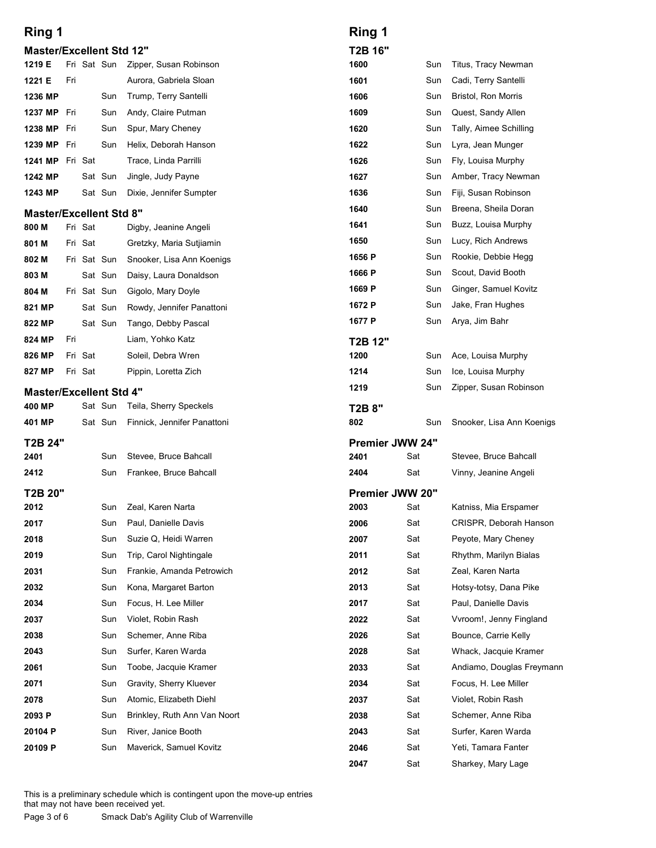| Ring 1                                    |             |                    |                                                  | Ring 1                  |            |                                               |
|-------------------------------------------|-------------|--------------------|--------------------------------------------------|-------------------------|------------|-----------------------------------------------|
| <b>Master/Excellent Std 12"</b><br>1219 E |             |                    | Fri Sat Sun Zipper, Susan Robinson               | T2B 16"<br>1600         | Sun        | Titus, Tracy Newman                           |
| Fri<br>1221 E                             |             |                    | Aurora, Gabriela Sloan                           | 1601                    | Sun        | Cadi, Terry Santelli                          |
| 1236 MP                                   |             | Sun                | Trump, Terry Santelli                            | 1606                    | Sun        | <b>Bristol, Ron Morris</b>                    |
| 1237 MP Fri                               |             | Sun                | Andy, Claire Putman                              | 1609                    | Sun        | Quest, Sandy Allen                            |
| 1238 MP Fri                               |             | Sun                | Spur, Mary Cheney                                | 1620                    | Sun        | Tally, Aimee Schilling                        |
| 1239 MP Fri                               |             | Sun                | Helix, Deborah Hanson                            | 1622                    | Sun        | Lyra, Jean Munger                             |
| 1241 MP Fri Sat<br>1242 MP                |             | Sat Sun            | Trace, Linda Parrilli                            | 1626<br>1627            | Sun<br>Sun | Fly, Louisa Murphy                            |
| 1243 MP                                   |             | Sat Sun            | Jingle, Judy Payne<br>Dixie, Jennifer Sumpter    | 1636                    | Sun        | Amber, Tracy Newman<br>Fiji, Susan Robinson   |
| <b>Master/Excellent Std 8"</b>            |             |                    |                                                  | 1640                    | Sun        | Breena, Sheila Doran                          |
| 800 M                                     | Fri Sat     |                    | Digby, Jeanine Angeli                            | 1641                    | Sun        | Buzz, Louisa Murphy                           |
| 801 M                                     | Fri Sat     |                    | Gretzky, Maria Sutjiamin                         | 1650                    | Sun        | Lucy, Rich Andrews                            |
| 802 M                                     | Fri Sat Sun |                    | Snooker, Lisa Ann Koenigs                        | 1656 P                  | Sun        | Rookie, Debbie Hegg                           |
| 803 M                                     |             | Sat Sun            | Daisy, Laura Donaldson                           | 1666 P                  | Sun        | Scout, David Booth                            |
| 804 M                                     | Fri Sat Sun |                    | Gigolo, Mary Doyle                               | 1669 P<br>1672 P        | Sun<br>Sun | Ginger, Samuel Kovitz<br>Jake, Fran Hughes    |
| 821 MP<br>822 MP                          |             | Sat Sun<br>Sat Sun | Rowdy, Jennifer Panattoni<br>Tango, Debby Pascal | 1677 P                  | Sun        | Arya, Jim Bahr                                |
| Fri<br>824 MP                             |             |                    | Liam, Yohko Katz                                 | T2B 12"                 |            |                                               |
| 826 MP                                    | Fri Sat     |                    | Soleil, Debra Wren                               | 1200                    | Sun        | Ace, Louisa Murphy                            |
| 827 MP                                    | Fri Sat     |                    | Pippin, Loretta Zich                             | 1214                    | Sun        | Ice, Louisa Murphy                            |
| <b>Master/Excellent Std 4"</b>            |             |                    |                                                  | 1219                    | Sun        | Zipper, Susan Robinson                        |
| 400 MP                                    |             | Sat Sun            | Teila, Sherry Speckels                           | T2B 8"                  |            |                                               |
| 401 MP                                    |             | Sat Sun            | Finnick, Jennifer Panattoni                      | 802                     | Sun        | Snooker, Lisa Ann Koenigs                     |
| T2B 24"                                   |             |                    |                                                  | Premier JWW 24"         |            |                                               |
| 2401                                      |             | Sun                | Stevee, Bruce Bahcall                            | 2401                    | Sat        | Stevee, Bruce Bahcall                         |
| 2412                                      |             | Sun                | Frankee, Bruce Bahcall                           | 2404                    | Sat        | Vinny, Jeanine Angeli                         |
| T2B 20"<br>2012                           |             | Sun                | Zeal, Karen Narta                                | Premier JWW 20"<br>2003 | Sat        | Katniss, Mia Erspamer                         |
| 2017                                      |             | Sun                | Paul, Danielle Davis                             | 2006                    | Sat        | CRISPR, Deborah Hanson                        |
| 2018                                      |             | Sun                | Suzie Q, Heidi Warren                            | 2007                    | Sat        | Peyote, Mary Cheney                           |
| 2019                                      |             | Sun                | Trip, Carol Nightingale                          | 2011                    | Sat        | Rhythm, Marilyn Bialas                        |
| 2031                                      |             | Sun                | Frankie, Amanda Petrowich                        | 2012                    | Sat        | Zeal, Karen Narta                             |
| 2032                                      |             | Sun                | Kona, Margaret Barton                            | 2013                    | Sat        | Hotsy-totsy, Dana Pike                        |
| 2034                                      |             | Sun                | Focus, H. Lee Miller                             | 2017                    | Sat        | Paul, Danielle Davis                          |
| 2037<br>2038                              |             | Sun                | Violet, Robin Rash<br>Schemer, Anne Riba         | 2022                    | Sat        | Vvroom!, Jenny Fingland                       |
| 2043                                      |             | Sun<br>Sun         | Surfer, Karen Warda                              | 2026<br>2028            | Sat<br>Sat | Bounce, Carrie Kelly<br>Whack, Jacquie Kramer |
| 2061                                      |             | Sun                | Toobe, Jacquie Kramer                            | 2033                    | Sat        | Andiamo, Douglas Freymann                     |
| 2071                                      |             | Sun                | Gravity, Sherry Kluever                          | 2034                    | Sat        | Focus, H. Lee Miller                          |
| 2078                                      |             | Sun                | Atomic, Elizabeth Diehl                          | 2037                    | Sat        | Violet, Robin Rash                            |
| 2093 P                                    |             | Sun                | Brinkley, Ruth Ann Van Noort                     | 2038                    | Sat        | Schemer, Anne Riba                            |
| 20104 P                                   |             | Sun                | River, Janice Booth                              | 2043                    | Sat        | Surfer, Karen Warda                           |
| 20109 P                                   |             |                    | Sun Maverick, Samuel Kovitz                      | 2046                    | Sat        | Yeti, Tamara Fanter                           |
|                                           |             |                    |                                                  | 2047                    | Sat        | Sharkey, Mary Lage                            |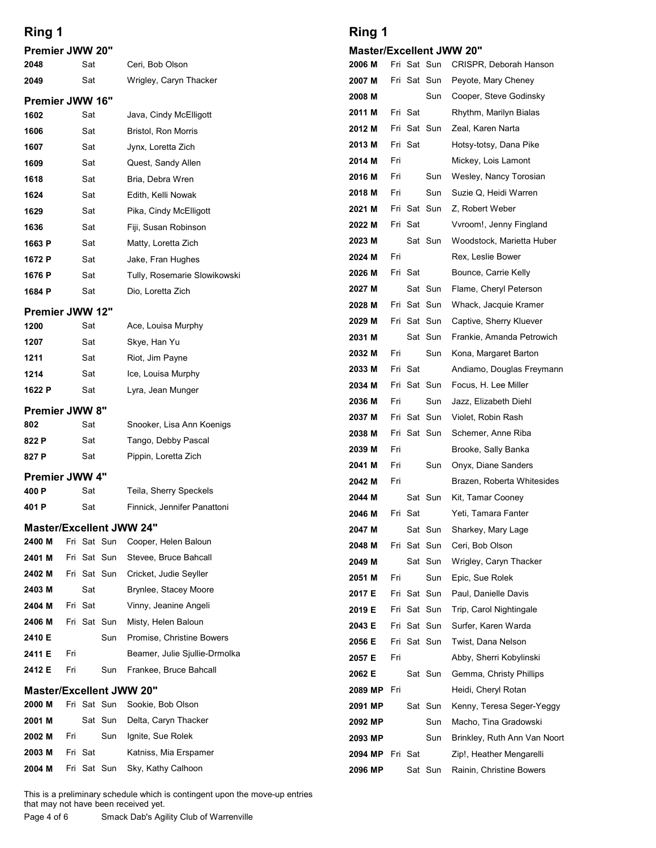| Ring 1                          |         |             |             |                                                       | Ring 1                          |     |                            |                |                                                    |
|---------------------------------|---------|-------------|-------------|-------------------------------------------------------|---------------------------------|-----|----------------------------|----------------|----------------------------------------------------|
| Premier JWW 20"                 |         |             |             |                                                       | <b>Master/Excellent JWW 20"</b> |     |                            |                |                                                    |
| 2048<br>2049                    |         | Sat<br>Sat  |             | Ceri, Bob Olson<br>Wrigley, Caryn Thacker             | 2006 M<br>2007 M                |     | Fri Sat Sun<br>Fri Sat Sun |                | CRISPR, Deborah Hanson<br>Peyote, Mary Cheney      |
| Premier JWW 16"                 |         |             |             |                                                       | 2008 M                          |     |                            | Sun            | Cooper, Steve Godinsky                             |
| 1602                            |         | Sat         |             | Java, Cindy McElligott                                | 2011 M                          |     | Fri Sat                    |                | Rhythm, Marilyn Bialas                             |
| 1606                            |         | Sat         |             | Bristol, Ron Morris                                   | 2012 M                          |     | Fri Sat Sun                |                | Zeal, Karen Narta                                  |
| 1607                            |         | Sat         |             | Jynx, Loretta Zich                                    | 2013 M<br>2014 M                | Fri | Fri Sat                    |                | Hotsy-totsy, Dana Pike<br>Mickey, Lois Lamont      |
| 1609<br>1618                    |         | Sat<br>Sat  |             | Quest, Sandy Allen<br>Bria, Debra Wren                | 2016 M                          | Fri |                            | Sun            | Wesley, Nancy Torosian                             |
| 1624                            |         | Sat         |             | Edith, Kelli Nowak                                    | 2018 M                          | Fri |                            | Sun            | Suzie Q, Heidi Warren                              |
| 1629                            |         | Sat         |             | Pika, Cindy McElligott                                | 2021 M                          |     | Fri Sat Sun                |                | Z, Robert Weber                                    |
| 1636                            |         | Sat         |             | Fiji, Susan Robinson                                  | 2022 M                          |     | Fri Sat                    |                | Vvroom!, Jenny Fingland                            |
| 1663 P                          |         | Sat         |             | Matty, Loretta Zich                                   | 2023 M<br>2024 M                | Fri |                            | Sat Sun        | Woodstock, Marietta Huber<br>Rex, Leslie Bower     |
| 1672 P<br>1676 P                |         | Sat<br>Sat  |             | Jake, Fran Hughes<br>Tully, Rosemarie Slowikowski     | 2026 M                          |     | Fri Sat                    |                | Bounce, Carrie Kelly                               |
| 1684 P                          |         | Sat         |             | Dio, Loretta Zich                                     | 2027 M                          |     |                            | Sat Sun        | Flame, Cheryl Peterson                             |
| Premier JWW 12"                 |         |             |             |                                                       | 2028 M                          |     | Fri Sat Sun                |                | Whack, Jacquie Kramer                              |
| 1200                            |         | Sat         |             | Ace, Louisa Murphy                                    | 2029 M                          |     | Fri Sat Sun                |                | Captive, Sherry Kluever                            |
| 1207                            |         | Sat         |             | Skye, Han Yu                                          | 2031 M<br>2032 M                | Fri |                            | Sat Sun<br>Sun | Frankie, Amanda Petrowich<br>Kona, Margaret Barton |
| 1211<br>1214                    |         | Sat<br>Sat  |             | Riot, Jim Payne<br>Ice, Louisa Murphy                 | 2033 M                          |     | Fri Sat                    |                | Andiamo, Douglas Freymann                          |
| 1622 P                          |         | Sat         |             | Lyra, Jean Munger                                     | 2034 M                          |     | Fri Sat Sun                |                | Focus, H. Lee Miller                               |
| Premier JWW 8"                  |         |             |             |                                                       | 2036 M                          | Fri |                            | Sun            | Jazz, Elizabeth Diehl                              |
| 802                             |         | Sat         |             | Snooker, Lisa Ann Koenigs                             | 2037 M                          |     | Fri Sat Sun                |                | Violet, Robin Rash                                 |
| 822 P                           |         | Sat         |             | Tango, Debby Pascal                                   | 2038 M<br>2039 M                | Fri | Fri Sat Sun                |                | Schemer, Anne Riba<br>Brooke, Sally Banka          |
| 827 P                           |         | Sat         |             | Pippin, Loretta Zich                                  | 2041 M                          | Fri |                            | Sun            | Onyx, Diane Sanders                                |
| Premier JWW 4"<br>400 P         |         | Sat         |             | Teila, Sherry Speckels                                | 2042 M                          | Fri |                            |                | Brazen, Roberta Whitesides                         |
| 401 P                           |         | Sat         |             | Finnick, Jennifer Panattoni                           | 2044 M                          |     |                            | Sat Sun        | Kit, Tamar Cooney                                  |
| <b>Master/Excellent JWW 24"</b> |         |             |             |                                                       | 2046 M<br>2047 M                |     | Fri Sat                    | Sat Sun        | Yeti, Tamara Fanter<br>Sharkey, Mary Lage          |
| 2400 M                          |         |             | Fri Sat Sun | Cooper, Helen Baloun                                  | 2048 M                          |     | Fri Sat Sun                |                | Ceri, Bob Olson                                    |
| 2401 M                          |         | Fri Sat Sun |             | Stevee, Bruce Bahcall                                 | 2049 M                          |     |                            | Sat Sun        | Wrigley, Caryn Thacker                             |
| 2402 M                          |         | Fri Sat Sun |             | Cricket, Judie Seyller                                | 2051 M                          | Fri |                            | Sun            | Epic, Sue Rolek                                    |
| 2403 M<br>2404 M                | Fri Sat | Sat         |             | Brynlee, Stacey Moore<br>Vinny, Jeanine Angeli        | 2017 E                          |     | Fri Sat Sun                |                | Paul, Danielle Davis                               |
| 2406 M                          |         | Fri Sat Sun |             | Misty, Helen Baloun                                   | 2019 E<br>2043 E                |     | Fri Sat Sun<br>Fri Sat Sun |                | Trip, Carol Nightingale<br>Surfer, Karen Warda     |
| 2410 E                          |         |             | Sun         | Promise, Christine Bowers                             | 2056 E                          |     | Fri Sat Sun                |                | Twist, Dana Nelson                                 |
| 2411 E                          | Fri     |             |             | Beamer, Julie Sjullie-Drmolka                         | 2057 E                          | Fri |                            |                | Abby, Sherri Kobylinski                            |
| 2412 E                          | Fri     |             | Sun         | Frankee, Bruce Bahcall                                | 2062 E                          |     |                            | Sat Sun        | Gemma, Christy Phillips                            |
| <b>Master/Excellent JWW 20"</b> |         |             |             |                                                       | 2089 MP                         | Fri |                            |                | Heidi, Cheryl Rotan                                |
| 2000 M<br>2001 M                |         | Sat Sun     |             | Fri Sat Sun Sookie, Bob Olson<br>Delta, Caryn Thacker | 2091 MP<br>2092 MP              |     |                            | Sat Sun<br>Sun | Kenny, Teresa Seger-Yeggy<br>Macho, Tina Gradowski |
| 2002 M                          | Fri     |             | Sun         | Ignite, Sue Rolek                                     | 2093 MP                         |     |                            | Sun            | Brinkley, Ruth Ann Van Noort                       |
|                                 | Fri Sat |             |             | Katniss, Mia Erspamer                                 | 2094 MP Fri Sat                 |     |                            |                | Zip!, Heather Mengarelli                           |
| 2003 M                          |         |             |             |                                                       |                                 |     |                            | Sat Sun        |                                                    |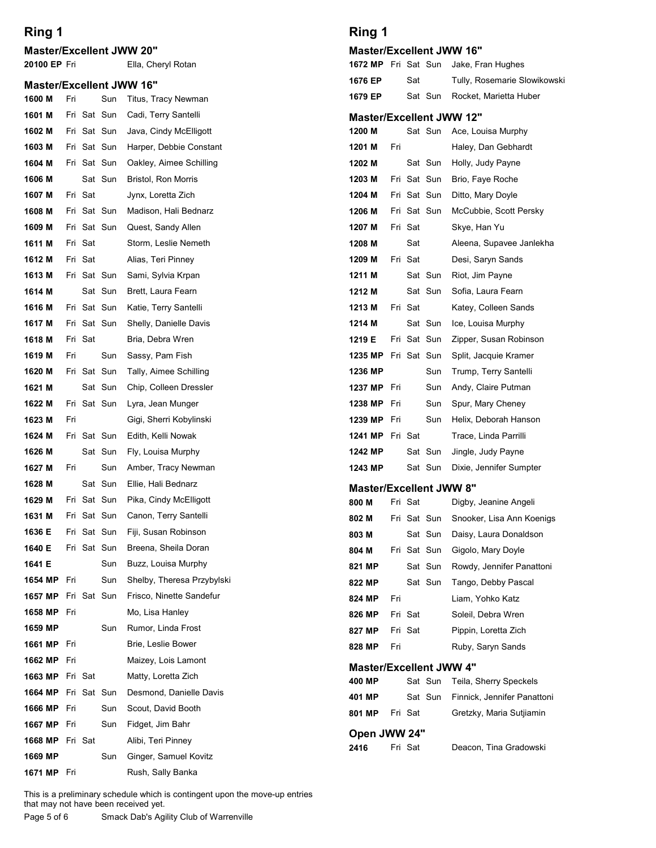#### Master/Excellent JWW 20"

## Master/Excellent JWW 16"<br>1600 M Fri Sun Titus Tracy Ne

| Ring 1<br><b>Master/Excellent JWW 20"</b> |     |         |                |                                                                                                                                                                | Ring 1<br><b>Master/Excellent JW</b>           |     |
|-------------------------------------------|-----|---------|----------------|----------------------------------------------------------------------------------------------------------------------------------------------------------------|------------------------------------------------|-----|
| 20100 EP Fri                              |     |         |                | Ella, Cheryl Rotan                                                                                                                                             | 1672 MP Fri Sat Sun                            |     |
| <b>Master/Excellent JWW 16"</b>           |     |         |                |                                                                                                                                                                | 1676 EP<br>Sat                                 |     |
| 1600 M                                    | Fri |         | Sun            | Titus, Tracy Newman                                                                                                                                            | 1679 EP<br>Sat Sun                             |     |
| 1601 M                                    |     |         | Fri Sat Sun    | Cadi, Terry Santelli                                                                                                                                           | <b>Master/Excellent JW</b>                     |     |
| 1602 M                                    |     |         | Fri Sat Sun    | Java, Cindy McElligott                                                                                                                                         | 1200 M<br>Sat Sun                              |     |
| 1603 M                                    |     |         | Fri Sat Sun    | Harper, Debbie Constant                                                                                                                                        | 1201 M<br>Fri                                  |     |
| 1604 M                                    |     |         | Fri Sat Sun    | Oakley, Aimee Schilling                                                                                                                                        | 1202 M<br>Sat Sun                              |     |
| 1606 M                                    |     |         | Sat Sun        | Bristol, Ron Morris                                                                                                                                            | Fri Sat Sun<br>1203 M                          |     |
| 1607 M                                    |     | Fri Sat |                | Jynx, Loretta Zich                                                                                                                                             | Fri Sat Sun<br>1204 M                          |     |
| 1608 M                                    |     |         | Fri Sat Sun    | Madison, Hali Bednarz                                                                                                                                          | Fri Sat Sun<br>1206 M                          |     |
| 1609 M<br>1611 M                          |     | Fri Sat | Fri Sat Sun    | Quest, Sandy Allen<br>Storm, Leslie Nemeth                                                                                                                     | Fri Sat<br>1207 M<br>Sat<br>1208 M             |     |
| 1612 M                                    |     | Fri Sat |                | Alias, Teri Pinney                                                                                                                                             | Fri Sat<br>1209 M                              |     |
| 1613 M                                    |     |         | Fri Sat Sun    | Sami, Sylvia Krpan                                                                                                                                             | Sat Sun<br>1211 M                              |     |
| 1614 M                                    |     |         | Sat Sun        | Brett, Laura Fearn                                                                                                                                             | Sat Sun<br>1212 M                              |     |
| 1616 M                                    |     |         | Fri Sat Sun    | Katie, Terry Santelli                                                                                                                                          | Fri Sat<br>1213 M                              |     |
| 1617 M                                    |     |         | Fri Sat Sun    | Shelly, Danielle Davis                                                                                                                                         | Sat Sun<br>1214 M                              |     |
| 1618 M                                    |     | Fri Sat |                | Bria, Debra Wren                                                                                                                                               | Fri Sat Sun<br>1219 E                          |     |
| 1619 M                                    | Fri |         | Sun            | Sassy, Pam Fish                                                                                                                                                | 1235 MP Fri Sat Sun                            |     |
| 1620 M                                    |     |         | Fri Sat Sun    | Tally, Aimee Schilling                                                                                                                                         | 1236 MP                                        | Sun |
| 1621 M                                    |     |         | Sat Sun        | Chip, Colleen Dressler                                                                                                                                         | 1237 MP<br>Fri                                 | Sun |
| 1622 M                                    |     |         | Fri Sat Sun    | Lyra, Jean Munger                                                                                                                                              | 1238 MP<br>Fri                                 | Sun |
| 1623 M                                    | Fri |         |                | Gigi, Sherri Kobylinski                                                                                                                                        | 1239 MP<br>Fri                                 | Sun |
| 1624 M                                    |     |         | Fri Sat Sun    | Edith, Kelli Nowak                                                                                                                                             | 1241 MP Fri Sat<br>Sat Sun                     |     |
| 1626 M<br>1627 M                          | Fri |         | Sat Sun<br>Sun | Fly, Louisa Murphy<br>Amber, Tracy Newman                                                                                                                      | 1242 MP<br>1243 MP<br>Sat Sun                  |     |
| 1628 M                                    |     |         | Sat Sun        | Ellie, Hali Bednarz                                                                                                                                            |                                                |     |
| 1629 M                                    |     |         | Fri Sat Sun    | Pika, Cindy McElligott                                                                                                                                         | <b>Master/Excellent JW</b><br>800 M<br>Fri Sat |     |
| 1631 M                                    |     |         | Fri Sat Sun    | Canon, Terry Santelli                                                                                                                                          | Fri Sat Sun<br>802 M                           |     |
| 1636 E                                    |     |         | Fri Sat Sun    | Fiji, Susan Robinson                                                                                                                                           | 803 M<br>Sat Sun                               |     |
| 1640 E                                    |     |         | Fri Sat Sun    | Breena, Sheila Doran                                                                                                                                           | Fri Sat Sun<br>804 M                           |     |
| 1641 E                                    |     |         | Sun            | Buzz, Louisa Murphy                                                                                                                                            | 821 MP<br>Sat Sun                              |     |
| 1654 MP                                   | Fri |         | Sun            | Shelby, Theresa Przybylski                                                                                                                                     | Sat Sun<br>822 MP                              |     |
| 1657 MP                                   |     |         | Fri Sat Sun    | Frisco, Ninette Sandefur                                                                                                                                       | Fri<br>824 MP                                  |     |
| 1658 MP Fri                               |     |         |                | Mo, Lisa Hanley                                                                                                                                                | Fri Sat<br>826 MP                              |     |
| 1659 MP                                   |     |         | Sun            | Rumor, Linda Frost                                                                                                                                             | Fri Sat<br>827 MP                              |     |
| 1661 MP                                   | Fri |         |                | Brie, Leslie Bower                                                                                                                                             | Fri<br>828 MP                                  |     |
| 1662 MP<br>1663 MP Fri Sat                | Fri |         |                | Maizey, Lois Lamont<br>Matty, Loretta Zich                                                                                                                     | <b>Master/Excellent JW</b>                     |     |
| 1664 MP Fri Sat Sun                       |     |         |                | Desmond, Danielle Davis                                                                                                                                        | 400 MP<br>Sat Sun                              |     |
| 1666 MP                                   | Fri |         | Sun            | Scout, David Booth                                                                                                                                             | Sat Sun<br>401 MP                              |     |
| 1667 MP                                   | Fri |         | Sun            | Fidget, Jim Bahr                                                                                                                                               | Fri Sat<br>801 MP                              |     |
| <b>1668 MP</b> Fri Sat                    |     |         |                | Alibi, Teri Pinney                                                                                                                                             | Open JWW 24"                                   |     |
| 1669 MP                                   |     |         | Sun            | Ginger, Samuel Kovitz                                                                                                                                          | Fri Sat<br>2416                                |     |
| 1671 MP                                   | Fri |         |                | Rush, Sally Banka                                                                                                                                              |                                                |     |
| Page 5 of 6                               |     |         |                | This is a preliminary schedule which is contingent upon the move-up entries<br>that may not have been received yet.<br>Smack Dab's Agility Club of Warrenville |                                                |     |

#### Ring 1

| <b>Master/Excellent JWW 16"</b> |  |
|---------------------------------|--|
|---------------------------------|--|

| Ring 1                                   |     |         |                            |                                                |
|------------------------------------------|-----|---------|----------------------------|------------------------------------------------|
| <b>Master/Excellent JWW 16"</b>          |     |         |                            |                                                |
| 1672 MP Fri Sat Sun                      |     |         |                            | Jake, Fran Hughes                              |
| 1676 EP                                  |     | Sat     |                            | Tully, Rosemarie Slowikowski                   |
| 1679 EP                                  |     |         | Sat Sun                    | Rocket, Marietta Huber                         |
| <b>Master/Excellent JWW 12"</b>          |     |         |                            |                                                |
| 1200 M                                   |     |         | Sat Sun                    | Ace, Louisa Murphy                             |
| 1201 M                                   | Fri |         |                            | Haley, Dan Gebhardt                            |
| 1202 M                                   |     |         | Sat Sun                    | Holly, Judy Payne                              |
| 1203 M                                   |     |         | Fri Sat Sun                | Brio, Faye Roche                               |
| 1204 M<br>1206 M                         |     |         | Fri Sat Sun<br>Fri Sat Sun | Ditto, Mary Doyle<br>McCubbie, Scott Persky    |
| 1207 M                                   |     | Fri Sat |                            | Skye, Han Yu                                   |
| 1208 M                                   |     | Sat     |                            | Aleena, Supavee Janlekha                       |
| 1209 M                                   |     | Fri Sat |                            | Desi, Saryn Sands                              |
| 1211 M                                   |     |         | Sat Sun                    | Riot, Jim Payne                                |
| 1212 M                                   |     |         | Sat Sun                    | Sofia, Laura Fearn                             |
| 1213 M                                   |     | Fri Sat |                            | Katey, Colleen Sands                           |
| 1214 M                                   |     |         | Sat Sun                    | Ice, Louisa Murphy                             |
| 1219 E                                   |     |         | Fri Sat Sun                | Zipper, Susan Robinson                         |
| 1235 MP Fri Sat Sun<br>1236 MP           |     |         | Sun                        | Split, Jacquie Kramer<br>Trump, Terry Santelli |
| 1237 MP                                  | Fri |         | Sun                        | Andy, Claire Putman                            |
| 1238 MP                                  | Fri |         | Sun                        | Spur, Mary Cheney                              |
| 1239 MP                                  | Fri |         | Sun                        | Helix, Deborah Hanson                          |
| 1241 MP Fri Sat                          |     |         |                            | Trace, Linda Parrilli                          |
| 1242 MP                                  |     |         | Sat Sun                    | Jingle, Judy Payne                             |
| 1243 MP                                  |     |         | Sat Sun                    | Dixie, Jennifer Sumpter                        |
| <b>Master/Excellent JWW 8"</b>           |     |         |                            |                                                |
| 800 M                                    |     | Fri Sat |                            | Digby, Jeanine Angeli                          |
| 802 M                                    |     |         | Fri Sat Sun                | Snooker, Lisa Ann Koenigs                      |
| 803 M<br>804 M                           |     |         | Sat Sun<br>Fri Sat Sun     | Daisy, Laura Donaldson<br>Gigolo, Mary Doyle   |
| 821 MP                                   |     |         | Sat Sun                    | Rowdy, Jennifer Panattoni                      |
| 822 MP                                   |     |         | Sat Sun                    | Tango, Debby Pascal                            |
| 824 MP                                   | Fri |         |                            | Liam, Yohko Katz                               |
| 826 MP                                   |     | Fri Sat |                            | Soleil, Debra Wren                             |
| 827 MP                                   |     | Fri Sat |                            | Pippin, Loretta Zich                           |
| 828 MP                                   | Fri |         |                            | Ruby, Saryn Sands                              |
| <b>Master/Excellent JWW 4"</b><br>400 MP |     |         | Sat Sun                    | Teila, Sherry Speckels                         |
| 401 MP                                   |     |         | Sat Sun                    | Finnick, Jennifer Panattoni                    |
| 801 MP                                   |     | Fri Sat |                            | Gretzky, Maria Sutjiamin                       |
| 2416                                     |     | Fri Sat |                            | Deacon, Tina Gradowski                         |
| Open JWW 24"                             |     |         |                            |                                                |